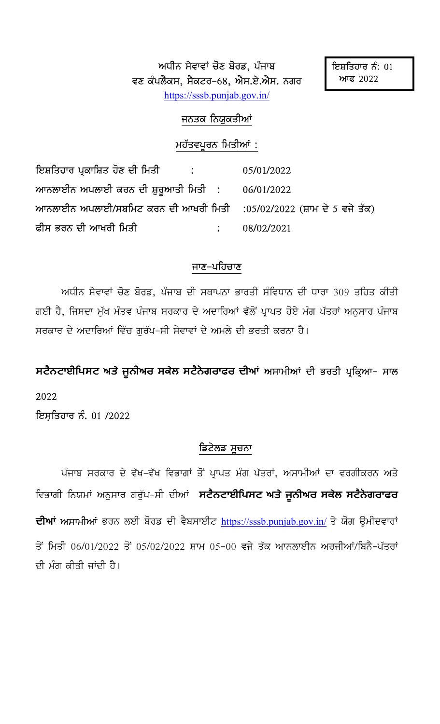ਅਧੀਨ ਸੇਵਾਵਾਂ ਚੋਣ ਬੋਰਡ, ਪੰਜਾਬ ਵਣ ਕੰਪਲੈਕਸ, ਸੈਕਟਰ–68, ਐਸ.ਏ.ਐਸ. ਨਗਰ https://sssb.punjab.gov.in/

### ਜਨਤਕ ਨਿਯੁਕਤੀਆਂ

#### ਮਹੱਤਵਪੂਰਨ ਮਿਤੀਆਂ :

ਇਸ਼ਤਿਹਾਰ ਪ੍ਰਕਾਸ਼ਿਤ ਹੋਣ ਦੀ ਮਿਤੀ 05/01/2022 ਆਨਲਾਈਨ ਅਪਲਾਈ ਕਰਨ ਦੀ ਸ਼ੁਰੁਆਤੀ ਮਿਤੀ : 06/01/2022 ਆਨਲਾਈਨ ਅਪਲਾਈ/ਸਬਮਿਟ ਕਰਨ ਦੀ ਆਖਰੀ ਮਿਤੀ  $:05/02/2022$  (ਸ਼ਾਮ ਦੇ 5 ਵਜੇ ਤੱਕ) <u>ਫ਼ੀਸ ਭਰਨ ਦੀ ਆਖਰੀ ਮਿਤੀ</u> 08/02/2021  $\ddot{\cdot}$ 

### ਜਾਣ–ਪਹਿਚਾਣ

ਅਧੀਨ ਸੇਵਾਵਾਂ ਚੋਣ ਬੋਰਡ, ਪੰਜਾਬ ਦੀ ਸਥਾਪਨਾ ਭਾਰਤੀ ਸੰਵਿਧਾਨ ਦੀ ਧਾਰਾ 309 ਤਹਿਤ ਕੀਤੀ ਗਈ ਹੈ, ਜਿਸਦਾ ਮੁੱਖ ਮੰਤਵ ਪੰਜਾਬ ਸਰਕਾਰ ਦੇ ਅਦਾਰਿਆਂ ਵੱਲੋਂ ਪ੍ਰਾਪਤ ਹੋਏ ਮੰਗ ਪੱਤਰਾਂ ਅਨੁਸਾਰ ਪੰਜਾਬ ਸਰਕਾਰ ਦੇ ਅਦਾਰਿਆਂ ਵਿੱਚ ਗਰੱਪ–ਸੀ ਸੇਵਾਵਾਂ ਦੇ ਅਮਲੇ ਦੀ ਭਰਤੀ ਕਰਨਾ ਹੈ।

ਸਟੈਨਟਾਈਪਿਸਟ ਅਤੇ ਜੂਨੀਅਰ ਸਕੇਲ ਸਟੈਨੇਗਰਾਫਰ ਦੀਆਂ ਅਸਾਮੀਆਂ ਦੀ ਭਰਤੀ ਪ੍ਰਕ੍ਰਿਆ– ਸਾਲ 2022

ਇਸ਼ਤਿਹਾਰ ਨੰ. 01 /2022

### ਡਿਟੇਲਡ ਸੂਚਨਾ

ਪੰਜਾਬ ਸਰਕਾਰ ਦੇ ਵੱਖ–ਵੱਖ ਵਿਭਾਗਾਂ ਤੋਂ ਪ੍ਰਾਪਤ ਮੰਗ ਪੱਤਰਾਂ, ਅਸਾਮੀਆਂ ਦਾ ਵਰਗੀਕਰਨ ਅਤੇ ਵਿਭਾਗੀ ਨਿਯਮਾਂ ਅਨੁਸਾਰ ਗਰੁੱਪ–ਸੀ ਦੀਆਂ ਸਟੈਨਟਾਈਪਿਸਟ ਅਤੇ ਜੁਨੀਅਰ ਸਕੇਲ ਸਟੈਨੇਗਰਾਫਰ ਦੀਆਂ ਅਸਾਮੀਆਂ ਭਰਨ ਲਈ ਬੋਰਡ ਦੀ ਵੈਬਸਾਈਟ https://sssb.punjab.gov.in/ ਤੇ ਯੋਗ ਉਮੀਦਵਾਰਾਂ ਤੋਂ ਮਿਤੀ 06/01/2022 ਤੋਂ 05/02/2022 ਸ਼ਾਮ 05-00 ਵਜੇ ਤੱਕ ਆਨਲਾਈਨ ਅਰਜੀਆਂ/ਬਿਨੈ-ਪੱਤਰਾਂ ਦੀ ਮੰਗ ਕੀਤੀ ਜਾਂਦੀ ਹੈ।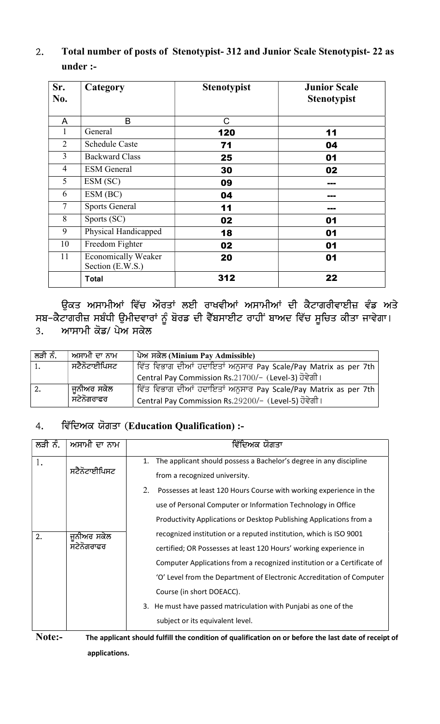## 2. Total number of posts of Stenotypist- 312 and Junior Scale Stenotypist- 22 as under :-

| Sr.<br>No.     | Category                                       | <b>Stenotypist</b> | <b>Junior Scale</b><br><b>Stenotypist</b> |
|----------------|------------------------------------------------|--------------------|-------------------------------------------|
| A              | B                                              | C                  |                                           |
| 1              | General                                        | 120                | 11                                        |
| $\overline{2}$ | <b>Schedule Caste</b>                          | 71                 | 04                                        |
| 3              | <b>Backward Class</b>                          | 25                 | 01                                        |
| $\overline{4}$ | <b>ESM</b> General                             | 30                 | 02                                        |
| 5              | ESM (SC)                                       | 09                 | ---                                       |
| 6              | ESM (BC)                                       | 04                 | <b>BRE</b>                                |
| $\tau$         | <b>Sports General</b>                          | 11                 | ---                                       |
| 8              | Sports (SC)                                    | 02                 | 01                                        |
| 9              | Physical Handicapped                           | 18                 | 01                                        |
| 10             | Freedom Fighter                                | 02                 | 01                                        |
| 11             | <b>Economically Weaker</b><br>Section (E.W.S.) | 20                 | 01                                        |
|                | <b>Total</b>                                   | 312                | 22                                        |

ਉਕਤ ਅਸਾਮੀਆਂ ਵਿੱਚ ਔਰਤਾਂ ਲਈ ਰਾਖਵੀਆਂ ਅਸਾਮੀਆਂ ਦੀ ਕੈਟਾਗਰੀਵਾਈਜ਼ ਵੰਡ ਅਤੇ ਸਬ–ਕੈਟਾਗਰੀਜ਼ ਸਬੰਧੀ ਉਮੀਦਵਾਰਾਂ ਨੂੰ ਬੋਰਡ ਦੀ ਵੈੱਬਸਾਈਟ ਰਾਹੀਂ ਬਾਅਦ ਵਿੱਚ ਸੂਚਿਤ ਕੀਤਾ ਜਾਵੇਗਾ। 3. ਆਸਾਮੀ ਕੋਡ/ ਪੇਅ ਸਕੇਲ

| ਲੜੀ ਨੰ. | ਅਸਾਮੀ ਦਾ ਨਾਮ | <u>ਪੇਅ ਸਕੇਲ (Minium Pay Admissible)</u>                        |
|---------|--------------|----------------------------------------------------------------|
| 1.      | ਸਟੈਨੋਟਾਈਪਿਸਟ | ਵਿੱਤ ਵਿਭਾਗ ਦੀਆਂ ਹਦਾਇਤਾਂ ਅਨੁਸਾਰ Pay Scale/Pay Matrix as per 7th |
|         |              | Central Pay Commission Rs.21700/- (Level-3) ਹੋਵੇਗੀ।            |
| 2.      | ਜੂਨੀਅਰ ਸਕੇਲ  | ਵਿੱਤ ਵਿਭਾਗ ਦੀਆਂ ਹਦਾਇਤਾਂ ਅਨੁਸਾਰ Pay Scale/Pay Matrix as per 7th |
|         | ਸਟੇਨੋਗਰਾਫਰ   | Central Pay Commission Rs.29200/- (Level-5) ਹੋਵੇਗੀ।            |

# 4. ਵਿੱਦਿਅਕ ਯੋਗਤਾ (Education Qualification) :-

| ਲੜੀ ਨੰ. | ਅਸਾਮੀ ਦਾ ਨਾਮ | ਵਿੱਦਿਅਕ ਯੋਗਤਾ                                                                                     |
|---------|--------------|---------------------------------------------------------------------------------------------------|
| 1.      |              | 1. The applicant should possess a Bachelor's degree in any discipline                             |
|         | ਸਟੈਨੋਟਾਈਪਿਸਟ | from a recognized university.                                                                     |
|         |              | 2.<br>Possesses at least 120 Hours Course with working experience in the                          |
|         |              | use of Personal Computer or Information Technology in Office                                      |
|         |              | Productivity Applications or Desktop Publishing Applications from a                               |
| 2.      | ਜਨੀਅਰ ਸਕੇਲ   | recognized institution or a reputed institution, which is ISO 9001                                |
|         | ਸਟੇਨੋਗਰਾਫਰ   | certified; OR Possesses at least 120 Hours' working experience in                                 |
|         |              | Computer Applications from a recognized institution or a Certificate of                           |
|         |              | 'O' Level from the Department of Electronic Accreditation of Computer                             |
|         |              | Course (in short DOEACC).                                                                         |
|         |              | 3. He must have passed matriculation with Punjabi as one of the                                   |
|         |              | subject or its equivalent level.                                                                  |
| Note:-  |              | The applicant should fulfill the condition of qualification on or before the last date of receipt |

Note:- The applicant should fulfill the condition of qualification on or before the last date of receipt of applications.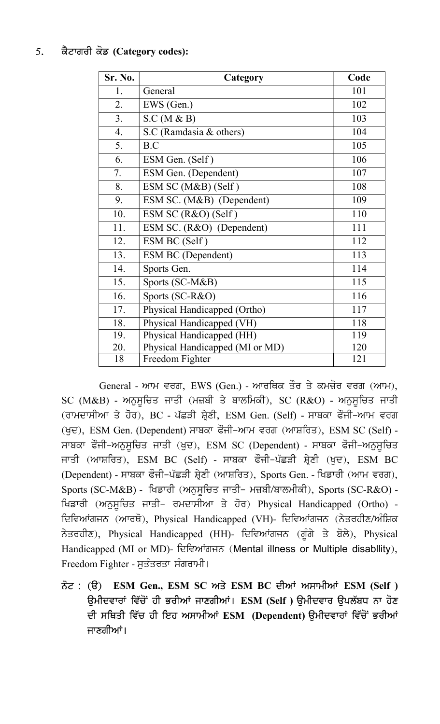## 5. ਕੈਟਾਗਰੀ ਕੋਡ (Category codes):

| Sr. No. | Category                        | Code |
|---------|---------------------------------|------|
| 1.      | General                         | 101  |
| 2.      | EWS (Gen.)                      | 102  |
| 3.      | S.C (M & B)                     | 103  |
| 4.      | S.C (Ramdasia & others)         | 104  |
| 5.      | B.C                             | 105  |
| 6.      | ESM Gen. (Self)                 | 106  |
| 7.      | ESM Gen. (Dependent)            | 107  |
| 8.      | ESM SC (M&B) (Self)             | 108  |
| 9.      | ESM SC. (M&B) (Dependent)       | 109  |
| 10.     | ESM SC (R&O) (Self)             | 110  |
| 11.     | ESM SC. (R&O) (Dependent)       | 111  |
| 12.     | ESM BC (Self)                   | 112  |
| 13.     | <b>ESM BC (Dependent)</b>       | 113  |
| 14.     | Sports Gen.                     | 114  |
| 15.     | Sports (SC-M&B)                 | 115  |
| 16.     | Sports (SC-R&O)                 | 116  |
| 17.     | Physical Handicapped (Ortho)    | 117  |
| 18.     | Physical Handicapped (VH)       | 118  |
| 19.     | Physical Handicapped (HH)       | 119  |
| 20.     | Physical Handicapped (MI or MD) | 120  |
| 18      | Freedom Fighter                 | 121  |

General - ਆਮ ਵਰਗ, EWS (Gen.) - ਆਰਥਿਕ ਤੌਰ ਤੇ ਕਮਜ਼ੋਰ ਵਰਗ (ਆਮ),  $SC$  (M&B) - ਅਨੁਸੁਚਿਤ ਜਾਤੀ (ਮਜ਼ਬੀ ਤੇ ਬਾਲਮਿਕੀ),  $SC$  (R&O) - ਅਨੁਸੁਚਿਤ ਜਾਤੀ (ਰਾਮਦਾਸੀਆ ਤੇ ਹੋਰ), BC - ਪੱਛੜੀ ਸ਼੍ਰੇਣੀ, ESM Gen. (Self) - ਸਾਬਕਾ ਫੌਜੀ-ਆਮ ਵਰਗ (ਖੁਦ), ESM Gen. (Dependent) ਸਾਬਕਾ ਫੌਜੀ-ਆਮ ਵਰਗ (ਆਸ਼ਰਿਤ), ESM SC (Self) -ਸਾਬਕਾ ਫੌਜੀ-ਅਨੁਸੁਚਿਤ ਜਾਤੀ (ਖੁਦ), ESM SC (Dependent) - ਸਾਬਕਾ ਫੌਜੀ-ਅਨੁਸੁਚਿਤ ਜਾਤੀ (ਆਸ਼ਰਿਤ), ESM BC (Self) - ਸਾਬਕਾ ਫੌਜੀ–ਪੱਛੜੀ ਸ਼੍ਰੇਣੀ (ਖੁਦ), ESM BC (Dependent) - ਸਾਬਕਾ ਫੌਜੀ-ਪੱਛੜੀ ਸ਼੍ਰੇਣੀ (ਆਸ਼ਰਿਤ), Sports Gen. - ਖਿਡਾਰੀ (ਆਮ ਵਰਗ),  $Sports (SC-M&B)$  - ਖਿਡਾਰੀ (ਅਨੁਸੂਚਿਤ ਜਾਤੀ- ਮਜ਼ਬੀ/ਬਾਲਮੀਕੀ), Sports (SC-R&O) -ਖਿਡਾਰੀ (ਅਨੁਸੁਚਿਤ ਜਾਤੀ- ਰਮਦਾਸੀਆ ਤੇ ਹੋਰ) Physical Handicapped (Ortho) -ਦਿਵਿਆਂਗਜਨ (ਆਰਥੋ), Physical Handicapped (VH)- ਦਿਵਿਆਂਗਜਨ (ਨੇਤਰਹੀਣ/ਅੰਸ਼ਿਕ ਨੇਤਰਹੀਣ), Physical Handicapped (HH)- ਦਿਵਿਆਂਗਜਨ (ਗੁੰਗੇ ਤੇ ਬੋਲੇ), Physical Handicapped (MI or MD)- ਦਿਵਿਆਂਗਜਨ (Mental illness or Multiple disabllity), Freedom Fighter - ਸੁਤੰਤਰਤਾ ਸੰਗਰਾਮੀ।

ਨੋਟ: (ੳ) ESM Gen., ESM SC ਅਤੇ ESM BC ਦੀਆਂ ਅਸਾਮੀਆਂ ESM (Self) ਉਮੀਦਵਾਰਾਂ ਵਿੱਚੋਂ ਹੀ ਭਰੀਆਂ ਜਾਣਗੀਆਂ। ESM (Self ) ਉਮੀਦਵਾਰ ਉਪਲੱਬਧ ਨਾ ਹੋਣ ਦੀ ਸਥਿਤੀ ਵਿੱਚ ਹੀ ਇਹ ਅਸਾਮੀਆਂ ESM (Dependent) ੳਮੀਦਵਾਰਾਂ ਵਿੱਚੋਂ ਭਰੀਆਂ ਜਾਣਗੀਆਂ।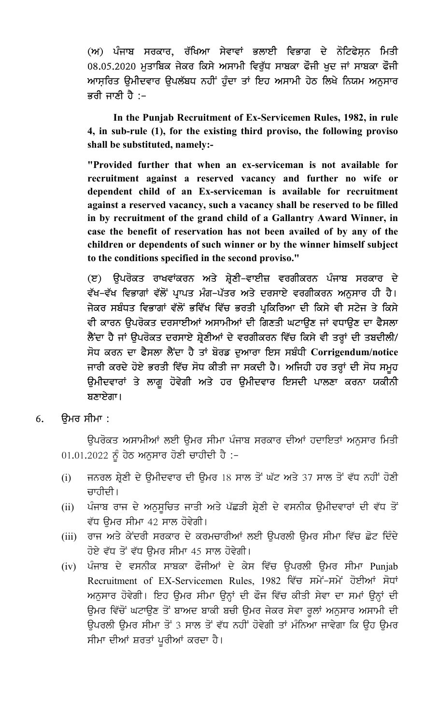(ਅ) ਪੰਜਾਬ ਸਰਕਾਰ, ਰੱਖਿਆ ਸੇਵਾਵਾਂ ਭਲਾਈ ਵਿਭਾਗ ਦੇ ਨੋਟਿਫੇਸ਼ਨ ਮਿਤੀ 08.05.2020 ਮੁਤਾਬਿਕ ਜੇਕਰ ਕਿਸੇ ਅਸਾਮੀ ਵਿਰੁੱਧ ਸਾਬਕਾ ਫੌਜੀ ਖੁਦ ਜਾਂ ਸਾਬਕਾ ਫੌਜੀ ਆਸਰਿਤ ੳਮੀਦਵਾਰ ੳਪਲੱਬਧ ਨਹੀਂ ਹੰਦਾ ਤਾਂ ਇਹ ਅਸਾਮੀ ਹੇਠ ਲਿਖੇ ਨਿਯਮ ਅਨਸਾਰ ਭਰੀ ਜਾਣੀ ਹੈ :–

 In the Punjab Recruitment of Ex-Servicemen Rules, 1982, in rule 4, in sub-rule (1), for the existing third proviso, the following proviso shall be substituted, namely:-

"Provided further that when an ex-serviceman is not available for recruitment against a reserved vacancy and further no wife or dependent child of an Ex-serviceman is available for recruitment against a reserved vacancy, such a vacancy shall be reserved to be filled in by recruitment of the grand child of a Gallantry Award Winner, in case the benefit of reservation has not been availed of by any of the children or dependents of such winner or by the winner himself subject to the conditions specified in the second proviso."

(ੲ) ਉਪਰੋਕਤ ਰਾਖਵਾਂਕਰਨ ਅਤੇ ਸ਼੍ਰੇਣੀ–ਵਾਈਜ਼ ਵਰਗੀਕਰਨ ਪੰਜਾਬ ਸਰਕਾਰ ਦੇ ਵੱਖ–ਵੱਖ ਵਿਭਾਗਾਂ ਵੱਲੋਂ ਪ੍ਰਾਪਤ ਮੰਗ–ਪੱਤਰ ਅਤੇ ਦਰਸਾਏ ਵਰਗੀਕਰਨ ਅਨੁਸਾਰ ਹੀ ਹੈ। ਜੇਕਰ ਸਬੰਧਤ ਵਿਭਾਗਾਂ ਵੱਲੋਂ ਭਵਿੱਖ ਵਿੱਚ ਭਰਤੀ ਪ੍ਰਕਿਰਿਆ ਦੀ ਕਿਸੇ ਵੀ ਸਟੇਜ ਤੇ ਕਿਸੇ ਵੀ ਕਾਰਨ ਉਪਰੋਕਤ ਦਰਸਾਈਆਂ ਅਸਾਮੀਆਂ ਦੀ ਗਿਣਤੀ ਘਟਾਉਣ ਜਾਂ ਵਧਾਉਣ ਦਾ ਫੈਸਲਾ ਲੈਂਦਾ ਹੈ ਜਾਂ ਉਪਰੋਕਤ ਦਰਸਾਏ ਸ਼੍ਰੇਣੀਆਂ ਦੇ ਵਰਗੀਕਰਨ ਵਿੱਚ ਕਿਸੇ ਵੀ ਤਰ੍ਹਾਂ ਦੀ ਤਬਦੀਲੀ/ ਸੋਧ ਕਰਨ ਦਾ ਫੈਸਲਾ ਲੈਂਦਾ ਹੈ ਤਾਂ ਬੋਰਡ ਦਆਰਾ ਇਸ ਸਬੰਧੀ  $\bf Corrigendum/notice$ ਜਾਰੀ ਕਰਦੇ ਹੋਏ ਭਰਤੀ ਵਿੱਚ ਸੋਧ ਕੀਤੀ ਜਾ ਸਕਦੀ ਹੈ। ਅਜਿਹੀ ਹਰ ਤਰ੍ਹਾਂ ਦੀ ਸੋਧ ਸਮੂਹ ਉਮੀਦਵਾਰਾਂ ਤੇ ਲਾਗੂ ਹੋਵੇਗੀ ਅਤੇ ਹਰ ਉਮੀਦਵਾਰ ਇਸਦੀ ਪਾਲਣਾ ਕਰਨਾ ਯਕੀਨੀ  $B$ ਣਾਏਗਾ।

 $6.$  ਉਮਰ ਸੀਮਾ :

ਉਪਰੋਕਤ ਅਸਾਮੀਆਂ ਲਈ ਉਮਰ ਸੀਮਾ ਪੰਜਾਬ ਸਰਕਾਰ ਦੀਆਂ ਹਦਾਇਤਾਂ ਅਨੁਸਾਰ ਮਿਤੀ  $01.01.2022$  ਨੂੰ ਹੇਠ ਅਨੁਸਾਰ ਹੋਣੀ ਚਾਹੀਦੀ ਹੈ :-

- (i) ਜਨਰਲ ਸ਼੍ਰੇਣੀ ਦੇ ਉਮੀਦਵਾਰ ਦੀ ਉਮਰ 18 ਸਾਲ ਤੋਂ ਘੱਟ ਅਤੇ 37 ਸਾਲ ਤੋਂ ਵੱਧ ਨਹੀਂ ਹੋਣੀ ਚਾਹੀਦੀ।
- (ii) ਪੰਜਾਬ ਰਾਜ ਦੇ ਅਨੁਸੁਚਿਤ ਜਾਤੀ ਅਤੇ ਪੱਛੜੀ ਸ਼੍ਰੇਣੀ ਦੇ ਵਸਨੀਕ ਉਮੀਦਵਾਰਾਂ ਦੀ ਵੱਧ ਤੋਂ ਵੱਧ ਉਮਰ ਸੀਮਾ 42 ਸਾਲ ਹੋਵੇਗੀ।
- (iii) ਰਾਜ ਅਤੇ ਕੇਂਦਰੀ ਸਰਕਾਰ ਦੇ ਕਰਮਚਾਰੀਆਂ ਲਈ ਉਪਰਲੀ ਉਮਰ ਸੀਮਾ ਵਿੱਚ ਛੋਟ ਦਿੰਦੇ ਹੋਏ ਵੱਧ ਤੋਂ ਵੱਧ ਉਮਰ ਸੀਮਾ 45 ਸਾਲ ਹੋਵੇਗੀ।
- (iv) ਪੰਜਾਬ ਦੇ ਵਸਨੀਕ ਸਾਬਕਾ ਫੌਜੀਆਂ ਦੇ ਕੇਸ ਵਿੱਚ ਉਪਰਲੀ ਉਮਰ ਸੀਮਾ Punjab Recruitment of EX-Servicemen Rules, 1982 ਵਿੱਚ ਸਮੇਂ-ਸਮੇਂ ਹੋਈਆਂ ਸੋਧਾਂ ਅਨਸਾਰ ਹੋਵੇਗੀ। ਇਹ ਉਮਰ ਸੀਮਾ ਉਨ੍ਹਾਂ ਦੀ ਫੌਜ ਵਿੱਚ ਕੀਤੀ ਸੇਵਾ ਦਾ ਸਮਾਂ ਉਨ੍ਹਾਂ ਦੀ ਉਮਰ ਵਿੱਚੋਂ ਘਟਾਉਣ ਤੋਂ ਬਾਅਦ ਬਾਕੀ ਬਚੀ ਉਮਰ ਜੇਕਰ ਸੇਵਾ ਰੁਲਾਂ ਅਨੁਸਾਰ ਅਸਾਮੀ ਦੀ ਉਪਰਲੀ ਉਮਰ ਸੀਮਾ ਤੋਂ 3 ਸਾਲ ਤੋਂ ਵੱਧ ਨਹੀਂ ਹੋਵੇਗੀ ਤਾਂ ਮੰਨਿਆ ਜਾਵੇਗਾ ਕਿ ਉਹ ਉਮਰ ਸੀਮਾ ਦੀਆਂ ਸ਼ਰਤਾਂ ਪੁਰੀਆਂ ਕਰਦਾ ਹੈ।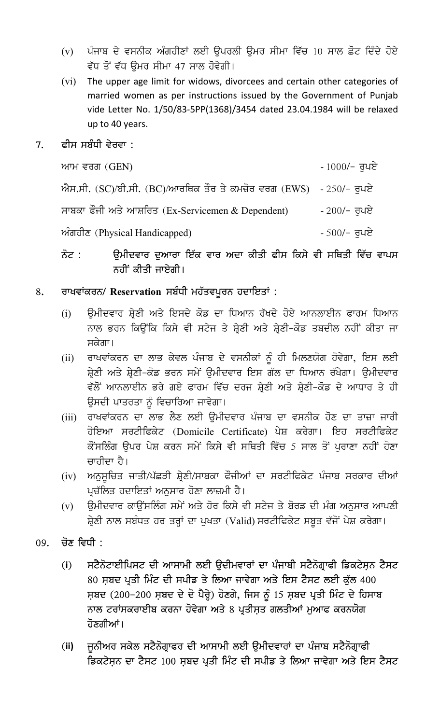- (v) ਪੰਜਾਬ ਦੇ ਵਸਨੀਕ ਅੰਗਹੀਣਾਂ ਲਈ ਉਪਰਲੀ ਉਮਰ ਸੀਮਾ ਵਿੱਚ 10 ਸਾਲ ਛੋਟ ਦਿੰਦੇ ਹੋਏ ਵੱਧ ਤੋਂ ਵੱਧ ਉਮਰ ਸੀਮਾ 47 ਸਾਲ ਹੋਵੇਗੀ।
- (vi) The upper age limit for widows, divorcees and certain other categories of married women as per instructions issued by the Government of Punjab vide Letter No. 1/50/83-5PP(1368)/3454 dated 23.04.1984 will be relaxed up to 40 years.

### $7.$  ਫੀਸ ਸਬੰਧੀ ਵੇਰਵਾ :

| ਆਮ ਵਰਗ $(GEN)$                                                    | - $1000/-$ ਰੁਪਏ |
|-------------------------------------------------------------------|-----------------|
| ਐਸ.ਸੀ. (SC)/ਬੀ.ਸੀ. (BC)/ਆਰਥਿਕ ਤੌਰ ਤੇ ਕਮਜ਼ੋਰ ਵਰਗ (EWS) - 250/- ਰਪਏ |                 |
| ਸਾਬਕਾ ਫੌਜੀ ਅਤੇ ਆਸ਼ਰਿਤ (Ex-Servicemen & Dependent)                 | - $200/-$ ਰੁਪਏ  |
| $\hat{\mathcal{W}}$ ਗਹੀਣ (Physical Handicapped)                   | - $500/-$ ਰੁਪਏ  |

# ਨੋਟ : ਉਮੀਦਵਾਰ ਦੁਆਰਾ ਇੱਕ ਵਾਰ ਅਦਾ ਕੀਤੀ ਫੀਸ ਕਿਸੇ ਵੀ ਸਥਿਤੀ ਵਿੱਚ ਵਾਪਸ ਨਹੀਂ ਕੀਤੀ ਜਾਏਗੀ।

## 8. ਰਾਖਵਾਂਕਰਨ/ Reservation ਸਬੰਧੀ ਮਹੱਤਵਪੂਰਨ ਹਦਾਇਤਾਂ :

- (i) ਉਮੀਦਵਾਰ ਸ਼੍ਰੇਣੀ ਅਤੇ ਇਸਦੇ ਕੋਡ ਦਾ ਧਿਆਨ ਰੱਖਦੇ ਹੋਏ ਆਨਲਾਈਨ ਫਾਰਮ ਧਿਆਨ ਨਾਲ ਭਰਨ ਕਿਉਂਕਿ ਕਿਸੇ ਵੀ ਸਟੇਜ ਤੇ ਸ਼੍ਰੇਣੀ ਅਤੇ ਸ਼੍ਰੇਣੀ–ਕੋਡ ਤਬਦੀਲ ਨਹੀਂ ਕੀਤਾ ਜਾ ਸਕੇਗਾ।
- (ii) ਰਾਖਵਾਂਕਰਨ ਦਾ ਲਾਭ ਕੇਵਲ ਪੰਜਾਬ ਦੇ ਵਸਨੀਕਾਂ ਨੂੰ ਹੀ ਮਿਲਣਯੋਗ ਹੋਵੇਗਾ, ਇਸ ਲਈ ਸ਼੍ਰੇਣੀ ਅਤੇ ਸ਼੍ਰੇਣੀ–ਕੋਡ ਭਰਨ ਸਮੇਂ ਉਮੀਦਵਾਰ ਇਸ ਗੱਲ ਦਾ ਧਿਆਨ ਰੱਖੇਗਾ। ਉਮੀਦਵਾਰ ਵੱਲੋਂ ਆਨਲਾਈਨ ਭਰੇ ਗਏ ਫਾਰਮ ਵਿੱਚ ਦਰਜ ਸ਼੍ਰੇਣੀ ਅਤੇ ਸ਼੍ਰੇਣੀ-ਕੋਡ ਦੇ ਆਧਾਰ ਤੇ ਹੀ ਉਸਦੀ ਪਾਤਰਤਾ ਨੂੰ ਵਿਚਾਰਿਆ ਜਾਵੇਗਾ।
- (iii) ਰਾਖਵਾਂਕਰਨ ਦਾ ਲਾਭ ਲੈਣ ਲਈ ੳਮੀਦਵਾਰ ਪੰਜਾਬ ਦਾ ਵਸਨੀਕ ਹੋਣ ਦਾ ਤਾਜ਼ਾ ਜਾਰੀ ਹੋਇਆ ਸਰਟੀਫਿਕੇਟ (Domicile Certificate) ਪੇਸ਼ ਕਰੇਗਾ। ਇਹ ਸਰਟੀਫਿਕੇਟ ਕੌਂਸਲਿੰਗ ਉਪਰ ਪੇਸ਼ ਕਰਨ ਸਮੇਂ ਕਿਸੇ ਵੀ ਸਥਿਤੀ ਵਿੱਚ 5 ਸਾਲ ਤੋਂ ਪੁਰਾਣਾ ਨਹੀਂ ਹੋਣਾ ਚਾਹੀਦਾ ਹੈ।
- (iv) ਅਨੁਸੂਚਿਤ ਜਾਤੀ/ਪੱਛੜੀ ਸ਼੍ਰੇਣੀ/ਸਾਬਕਾ ਫੌਜੀਆਂ ਦਾ ਸਰਟੀਫਿਕੇਟ ਪੰਜਾਬ ਸਰਕਾਰ ਦੀਆਂ ਪ੍ਰਚੱਲਿਤ ਹਦਾਇਤਾਂ ਅਨੁਸਾਰ ਹੋਣਾ ਲਾਜ਼ਮੀ ਹੈ।
- (v) ਉਮੀਦਵਾਰ ਕਾਉਂਸਲਿੰਗ ਸਮੇਂ ਅਤੇ ਹੋਰ ਕਿਸੇ ਵੀ ਸਟੇਜ ਤੇ ਬੋਰਡ ਦੀ ਮੰਗ ਅਨਸਾਰ ਆਪਣੀ ਸ਼੍ਰੇਣੀ ਨਾਲ ਸਬੰਧਤ ਹਰ ਤਰ੍ਹਾਂ ਦਾ ਪੁਖਤਾ (Valid) ਸਰਟੀਫਿਕੇਟ ਸਬੂਤ ਵੱਜੋਂ ਪੇਸ਼ ਕਰੇਗਾ।
- $09.$  ਚੋਣ ਵਿਧੀ :
	- (i) ਸਟੈਨੋਟਾਈਪਿਸਟ ਦੀ ਆਸਾਮੀ ਲਈ ਉਦੀਮਵਾਰਾਂ ਦਾ ਪੰਜਾਬੀ ਸਟੈਨੋਗ੍ਰਾਫੀ ਡਿਕਟੇਸ਼ਨ ਟੈਸਟ 80 ਸ਼ਬਦ ਪ੍ਰਤੀ ਮਿੰਟ ਦੀ ਸਪੀਡ ਤੇ ਲਿਆ ਜਾਵੇਗਾ ਅਤੇ ਇਸ ਟੈਸਟ ਲਈ ਕੁੱਲ 400 ਸ਼ਬਦ (200-200 ਸ਼ਬਦ ਦੇ ਦੋ ਪੈਰ੍ਹੇ) ਹੋਣਗੇ, ਜਿਸ ਨੂੰ 15 ਸ਼ਬਦ ਪ੍ਰਤੀ ਮਿੰਟ ਦੇ ਹਿਸਾਬ ਨਾਲ ਟਰਾਂਸਕਰਾਈਬ ਕਰਨਾ ਹੋਵੇਗਾ ਅਤੇ 8 ਪ੍ਰਤੀਸ਼ਤ ਗਲਤੀਆਂ ਮੁਆਫ ਕਰਨਯੋਗ ਹੋਣਗੀਆਂ।
	- (ii) i ਜੂਨੀਅਰ ਸਕੇਲ ਸਟੈਨੋਗ੍ਰਾਫਰ ਦੀ ਆਸਾਮੀ ਲਈ ਉਮੀਦਵਾਰਾਂ ਦਾ ਪੰਜਾਬ ਸਟੈਨੋਗ੍ਰਾਫੀ ਡਿਕਟੇਸ਼ਨ ਦਾ ਟੈਸਟ 100 ਸ਼ਬਦ ਪ੍ਰਤੀ ਮਿੰਟ ਦੀ ਸਪੀਡ ਤੇ ਲਿਆ ਜਾਵੇਗਾ ਅਤੇ ਇਸ ਟੈਸਟ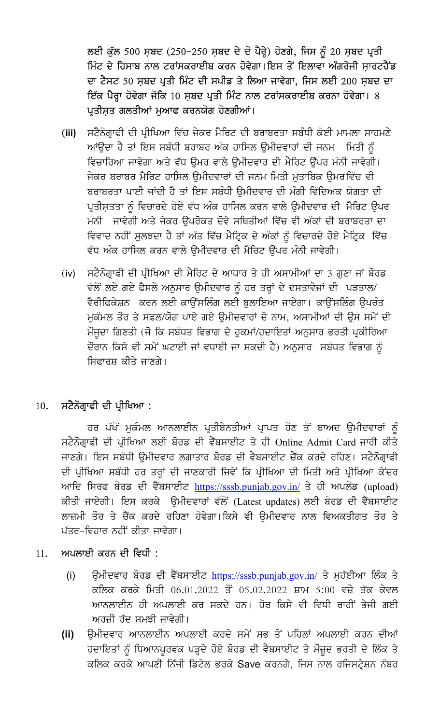ਲਈ ਕੁੱਲ 500 ਸ਼ਬਦ (250-250 ਸ਼ਬਦ ਦੇ ਦੋ ਪੈਰ੍ਹੇ) ਹੋਣਗੇ, ਜਿਸ ਨੂੰ 20 ਸ਼ਬਦ ਪ੍ਰਤੀ ਮਿੰਟ ਦੇ ਹਿਸਾਬ ਨਾਲ ਟਰਾਂਸਕਰਾਈਬ ਕਰਨ ਹੋਵੇਗਾ।ਇਸ ਤੋਂ ਇਲਾਵਾ ਅੰਗਰੇਜੀ ਸਾਰਟਹੈਂਡ ਦਾ ਟੈਸਟ 50 ਸ਼ਬਦ ਪ੍ਰਤੀ ਮਿੰਟ ਦੀ ਸਪੀਡ ਤੇ ਲਿਆ ਜਾਵੇਗਾ, ਜਿਸ ਲਈ 200 ਸ਼ਬਦ ਦਾ ਇੱਕ ਪੈਰ੍ਹਾ ਹੋਵੇਗਾ ਜੋਕਿ 10 ਸ਼ਬਦ ਪ੍ਰਤੀ ਮਿੰਟ ਨਾਲ ਟਰਾਂਸਕਰਾਈਬ ਕਰਨਾ ਹੋਵੇਗਾ। 8 ਪ੍ਰਤੀਸ਼ਤ ਗਲਤੀਆਂ ਮੁਆਫ ਕਰਨਯੋਗ ਹੋਣਗੀਆਂ।

- ਸਟੈਨੋਗ੍ਰਾਫੀ ਦੀ ਪ੍ਰੀਖਿਆ ਵਿੱਚ ਜੇਕਰ ਮੈਰਿਟ ਦੀ ਬਰਾਬਰਤਾ ਸਬੰਧੀ ਕੋਈ ਮਾਮਲਾ ਸਾਹਮਣੇ  $(iii)$ ਆਂਉਦਾ ਹੈ ਤਾਂ ਇਸ ਸਬੰਧੀ ਬਰਾਬਰ ਅੰਕ ਹਾਸਿਲ ਉਮੀਦਵਾਰਾਂ ਦੀ ਜਨਮ ਸਿਤੀ ਨੂੰ ਵਿਚਾਰਿਆ ਜਾਵੇਗਾ ਅਤੇ ਵੱਧ ਉਮਰ ਵਾਲੇ ਉਮੀਦਵਾਰ ਦੀ ਮੈਰਿਟ ਉੱਪਰ ਮੰਨੀ ਜਾਵੇਗੀ। ਜੇਕਰ ਬਰਾਬਰ ਮੈਰਿਟ ਹਾਸਿਲ ਉਮੀਦਵਾਰਾਂ ਦੀ ਜਨਮ ਮਿਤੀ ਮੁਤਾਬਿਕ ਉਮਰਵਿੱਚ ਵੀ ਬਰਾਬਰਤਾ ਪਾਈ ਜਾਂਦੀ ਹੈ ਤਾਂ ਇਸ ਸਬੰਧੀ ੳਮੀਦਵਾਰ ਦੀ ਮੰਗੀ ਵਿੱਦਿਅਕ ਯੋਗਤਾ ਦੀ ਪ੍ਰਤੀਸ਼ਤਤਾ ਨੂੰ ਵਿਚਾਰਦੇ ਹੋਏ ਵੱਧ ਅੰਕ ਹਾਸਿਲ ਕਰਨ ਵਾਲੇ ਉਮੀਦਵਾਰ ਦੀ ਮੈਰਿਟ ਉਪਰ ਮੰਨੀ ਜਾਵੇਗੀ ਅਤੇ ਜੇਕਰ ਉਪਰੋਕਤ ਦੋਵੇ ਸਥਿਤੀਆਂ ਵਿੱਚ ਵੀ ਅੰਕਾਂ ਦੀ ਬਰਾਬਰਤਾ ਦਾ ਵਿਵਾਦ ਨਹੀਂ ਸੁਲਝਦਾ ਹੈ ਤਾਂ ਅੰਤ ਵਿੱਚ ਮੈਟ੍ਰਿਕ ਦੇ ਅੰਕਾਂ ਨੂੰ ਵਿਚਾਰਦੇ ਹੋਏ ਮੈਟ੍ਰਿਕ ਵਿੱਚ ਵੱਧ ਅੰਕ ਹਾਸਿਲ ਕਰਨ ਵਾਲੇ ਉਮੀਦਵਾਰ ਦੀ ਮੈਰਿਟ ਉੱਪਰ ਮੰਨੀ ਜਾਵੇਗੀ।
- ਸਟੈਨੋਗ੍ਰਾਫੀ ਦੀ ਪ੍ਰੀਖਿਆ ਦੀ ਮੈਰਿਟ ਦੇ ਆਧਾਰ ਤੇ ਹੀ ਅਸਾਮੀਆਂ ਦਾ 3 ਗੁਣਾ ਜਾਂ ਬੋਰਡ  $(iv)$ ਵੱਲੋਂ ਲਏ ਗਏ ਫੈਸਲੇ ਅਨੁਸਾਰ ਉਮੀਦਵਾਰ ਨੂੰ ਹਰ ਤਰ੍ਹਾਂ ਦੇ ਦਸਤਾਵੇਜਾਂ ਦੀ ਪੜਤਾਲ/ ਵੈਰੀਫਿਕੇਸ਼ਨ ਕਰਨ ਲਈ ਕਾਉਂਸਲਿੰਗ ਲਈ ਬੁਲਾਇਆ ਜਾਏਗਾ। ਕਾਉਂਸਲਿੰਗ ਉਪਰੰਤ ਮਕੰਮਲ ਤੌਰ ਤੇ ਸਫਲ/ਯੋਗ ਪਾਏ ਗਏ ੳਮੀਦਵਾਰਾਂ ਦੇ ਨਾਮ, ਅਸਾਮੀਆਂ ਦੀ ੳਸ ਸਮੇਂ ਦੀ ਮੌਜੂਦਾ ਗਿਣਤੀ (ਜੋ ਕਿ ਸਬੰਧਤ ਵਿਭਾਗ ਦੇ ਹੁਕਮਾਂ/ਹਦਾਇਤਾਂ ਅਨੁਸਾਰ ਭਰਤੀ ਪ੍ਰਕੀਰਿਆ ਦੌਰਾਨ ਕਿਸੇ ਵੀ ਸਮੇਂ ਘਟਾਈ ਜਾਂ ਵਧਾਈ ਜਾ ਸਕਦੀ ਹੈ) ਅਨੁਸਾਰ ਸਬੰਧਤ ਵਿਭਾਗ ਨੂੰ ਸਿਫਾਰਸ਼ ਕੀਤੇ ਜਾਣਗੇ।

#### ਸਟੈਨੋਗ੍ਰਾਫੀ ਦੀ ਪ੍ਰੀਖਿਆ : 10.

ਹਰ ਪੱਖੋਂ ਮੁਕੰਮਲ ਆਨਲਾਈਨ ਪ੍ਰਤੀਬੇਨਤੀਆਂ ਪ੍ਰਾਪਤ ਹੋਣ ਤੋਂ ਬਾਅਦ ਉਮੀਦਵਾਰਾਂ ਨੂੰ ਸਟੈਨੋਗ੍ਰਾਫੀ ਦੀ ਪ੍ਰੀਖਿਆ ਲਈ ਬੋਰਡ ਦੀ ਵੈੱਬਸਾਈਟ ਤੇ ਹੀ Online Admit Card ਜਾਰੀ ਕੀਤੇ ਜਾਣਗੇ। ਇਸ ਸਬੰਧੀ ੳਮੀਦਵਾਰ ਲਗਾਤਾਰ ਬੋਰਡ ਦੀ ਵੈਬਸਾਈਟ ਚੈੱਕ ਕਰਦੇ ਰਹਿਣ। ਸਟੈਨੋਗਾਫੀ ਦੀ ਪ੍ਰੀਖਿਆ ਸਬੰਧੀ ਹਰ ਤਰ੍ਹਾਂ ਦੀ ਜਾਣਕਾਰੀ ਜਿਵੇਂ ਕਿ ਪ੍ਰੀਖਿਆ ਦੀ ਮਿਤੀ ਅਤੇ ਪ੍ਰੀਖਿਆ ਕੇਂਦਰ ਆਦਿ ਸਿਰਫ ਬੋਰਡ ਦੀ ਵੈੱਬਸਾਈਟ https://sssb.punjab.gov.in/ ਤੇ ਹੀ ਅਪਲੋਡ (upload) ਕੀਤੀ ਜਾਏਗੀ। ਇਸ ਕਰਕੇ ਉਮੀਦਵਾਰਾਂ ਵੱਲੋਂ (Latest updates) ਲਈ ਬੋਰਡ ਦੀ ਵੈੱਬਸਾਈਟ ਲਾਜ਼ਮੀ ਤੌਰ ਤੇ ਚੈੱਕ ਕਰਦੇ ਰਹਿਣਾ ਹੋਵੇਗਾ।ਕਿਸੇ ਵੀ ਉਮੀਦਵਾਰ ਨਾਲ ਵਿਅਕਤੀਗਤ ਤੌਰ ਤੇ ਪੱਤਰ-ਵਿਹਾਰ ਨਹੀਂ ਕੀਤਾ ਜਾਵੇਗਾ।

#### ਅਪਲਾਈ ਕਰਨ ਦੀ ਵਿਧੀ :  $11.$

- ਉਮੀਦਵਾਰ ਬੋਰਡ ਦੀ ਵੈੱਬਸਾਈਟ https://sssb.punjab.gov.in/ ਤੇ ਮੁਹੱਈਆ ਲਿੰਕ ਤੇ  $(i)$ ਕਲਿਕ ਕਰਕੇ ਮਿਤੀ 06.01.2022 ਤੋਂ 05.02.2022 ਸ਼ਾਮ 5:00 ਵਜ਼ੇ ਤੱਕ ਕੇਵਲ ਆਨਲਾਈਨ ਹੀ ਅਪਲਾਈ ਕਰ ਸਕਦੇ ਹਨ। ਹੋਰ ਕਿਸੇ ਵੀ ਵਿਧੀ ਰਾਹੀਂ ਭੇਜੀ ਗਈ ਅਰਜ਼ੀ ਰੱਦ ਸਮਝੀ ਜਾਵੇਗੀ।
- ਓਮੀਦਵਾਰ ਆਨਲਾਈਨ ਅਪਲਾਈ ਕਰਦੇ ਸਮੇਂ ਸਭ ਤੋਂ ਪਹਿਲਾਂ ਅਪਲਾਈ ਕਰਨ ਦੀਆਂ  $(ii)$ ਹਦਾਇਤਾਂ ਨੂੰ ਧਿਆਨਪੂਰਵਕ ਪੜ੍ਹਦੇ ਹੋਏ ਬੋਰਡ ਦੀ ਵੈਬਸਾਈਟ ਤੇ ਮੌਜ਼ੂਦ ਭਰਤੀ ਦੇ ਲਿੰਕ ਤੇ ਕਲਿਕ ਕਰਕੇ ਆਪਣੀ ਨਿੱਜੀ ਡਿਟੇਲ ਭਰਕੇ Save ਕਰਨਗੇ, ਜਿਸ ਨਾਲ ਰਜਿਸਟ੍ਰੇਸ਼ਨ ਨੰਬਰ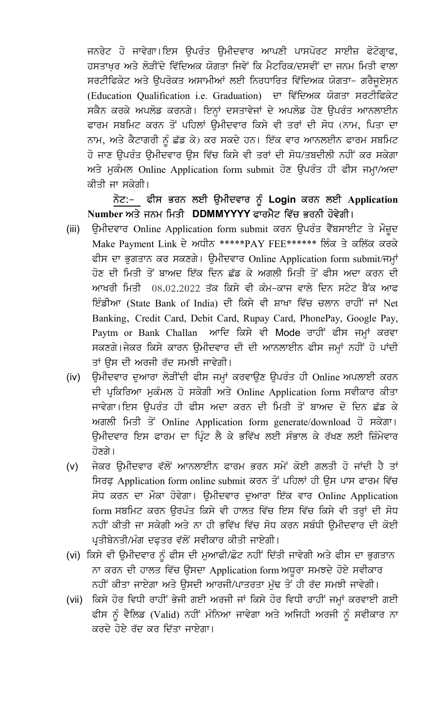ਜਨਰੇਟ ਹੋ ਜਾਵੇਗਾ।ਇਸ ਉਪਰੰਤ ਉਮੀਦਵਾਰ ਆਪਣੀ ਪਾਸਪੋਰਟ ਸਾਈਜ਼ ਫੋਟੋਗ੍ਰਾਫ, ਹਸਤਾਖ਼ਰ ਅਤੇ ਲੋੜੀਂਦੇ ਵਿੱਦਿਅਕ ਯੋਗਤਾ ਜਿਵੇਂ ਕਿ ਮੈਟਰਿਕ/ਦਸਵੀਂ ਦਾ ਜਨਮ ਮਿਤੀ ਵਾਲਾ ਸਰਟੀਫਿਕੇਟ ਅਤੇ ਉਪਰੋਕਤ ਅਸਾਮੀਆਂ ਲਈ ਨਿਰਧਾਰਿਤ ਵਿੱਦਿਅਕ ਯੋਗਤਾ– ਗਰੈਜੂਏਸ਼ਨ (Education Qualification i.e. Graduation) ਦਾ ਵਿੱਦਿਅਕ ਯੋਗਤਾ ਸਰਟੀਫਿਕੇਟ ਸਕੈਨ ਕਰਕੇ ਅਪਲੋਡ ਕਰਨਗੇ। ਇਨ੍ਹਾਂ ਦਸਤਾਵੇਜਾਂ ਦੇ ਅਪਲੋਡ ਹੋਣ ਉਪਰੰਤ ਆਨਲਾਈਨ ਫਾਰਮ ਸਬਮਿਟ ਕਰਨ ਤੋਂ ਪਹਿਲਾਂ ਉਮੀਦਵਾਰ ਕਿਸੇ ਵੀ ਤਰਾਂ ਦੀ ਸੋਧ (ਨਾਮ, ਪਿਤਾ ਦਾ ਨਾਮ, ਅਤੇ ਕੈਟਾਗਰੀ ਨੂੰ ਛੱਡ ਕੇ) ਕਰ ਸਕਦੇ ਹਨ। ਇੱਕ ਵਾਰ ਆਨਲਈਨ ਫਾਰਮ ਸਬਮਿਟ ਹੋ ਜਾਣ ਉਪਰੰਤ ਉਮੀਦਵਾਰ ਉਸ ਵਿੱਚ ਕਿਸੇ ਵੀ ਤਰਾਂ ਦੀ ਸੋਧ/ਤਬਦੀਲੀ ਨਹੀਂ ਕਰ ਸਕੇਗਾ ਅਤੇ ਮੁਕੰਮਲ Online Application form submit ਹੋਣ ਉਪਰੰਤ ਹੀ ਫੀਸ ਜਮ੍ਹਾ/ਅਦਾ ਕੀਤੀ ਜਾ ਸਕੇਗੀ।

# ਨੋਟ:- ਫੀਸ ਭਰਨ ਲਈ ਉਮੀਦਵਾਰ ਨੂੰ Login ਕਰਨ ਲਈ Application Number ਅਤੇ ਜਨਮ ਮਿਤੀ DDMMYYYY ਫਾਰਮੈਟ ਵਿੱਚ ਭਰਨੀ ਹੋਵੇਗੀ।

- ਉਮੀਦਵਾਰ Online Application form submit ਕਰਨ ਉਪਰੰਤ ਵੈੱਬਸਾਈਟ ਤੇ ਮੌਜ਼ੂਦ  $(iii)$ Make Payment Link ਦੇ ਅਧੀਨ \*\*\*\*\*PAY FEE\*\*\*\*\*\* ਲਿੰਕ ਤੇ ਕਲਿੱਕ ਕਰਕੇ ਫੀਸ ਦਾ ਭੁਗਤਾਨ ਕਰ ਸਕਣਗੇ। ਉਮੀਦਵਾਰ Online Application form submit/ਜਮ੍ਹਾਂ ਹੋਣ ਦੀ ਮਿਤੀ ਤੋਂ ਬਾਅਦ ਇੱਕ ਦਿਨ ਛੱਡ ਕੇ ਅਗਲੀ ਮਿਤੀ ਤੋਂ ਫੀਸ ਅਦਾ ਕਰਨ ਦੀ ਆਖਰੀ ਮਿਤੀ 08.02.2022 ਤੱਕ ਕਿਸੇ ਵੀ ਕੰਮ-ਕਾਜ ਵਾਲੇ ਦਿਨ ਸਟੇਟ ਬੈਂਕ ਆਫ ਇੰਡੀਆ (State Bank of India) ਦੀ ਕਿਸੇ ਵੀ ਸ਼ਾਖਾ ਵਿੱਚ ਚਲਾਨ ਰਾਹੀਂ ਜਾਂ Net Banking, Credit Card, Debit Card, Rupay Card, PhonePay, Google Pay, Paytm or Bank Challan ਆਦਿ ਕਿਸੇ ਵੀ Mode ਰਾਹੀਂ ਫੀਸ ਜਮ੍ਹਾਂ ਕਰਵਾ ਸਕਣਗੇ।ਜੇਕਰ ਕਿਸੇ ਕਾਰਨ ਉਮੀਦਵਾਰ ਦੀ ਦੀ ਆਨਲਾਈਨ ਫੀਸ ਜਮ੍ਹਾਂ ਨਹੀਂ ਹੋ ਪਾਂਦੀ ਤਾਂ ਉਸ ਦੀ ਅਰਜੀ ਰੱਦ ਸਮਝੀ ਜਾਵੇਗੀ।
- ਉਮੀਦਵਾਰ ਦੁਆਰਾ ਲੋੜੀਂਦੀ ਫੀਸ ਜਮ੍ਹਾਂ ਕਰਵਾਉਣ ਉਪਰੰਤ ਹੀ Online ਅਪਲਾਈ ਕਰਨ  $(iv)$ ਦੀ ਪ੍ਰਕਿਰਿਆ ਮੁਕੰਮਲ ਹੋ ਸਕੇਗੀ ਅਤੇ Online Application form ਸਵੀਕਾਰ ਕੀਤਾ ਜਾਵੇਗਾ।ਇਸ ੳਪਰੰਤ ਹੀ ਫੀਸ ਅਦਾ ਕਰਨ ਦੀ ਮਿਤੀ ਤੋਂ ਬਾਅਦ ਦੋ ਦਿਨ ਛੱਡ ਕੇ ਅਗਲੀ ਮਿਤੀ ਤੋਂ Online Application form generate/download ਹੋ ਸਕੇਗਾ। ਉਮੀਦਵਾਰ ਇਸ ਫਾਰਮ ਦਾ ਪਿੰਟ ਲੈ ਕੇ ਭਵਿੱਖ ਲਈ ਸੰਭਾਲ ਕੇ ਰੱਖਣ ਲਈ ਜ਼ਿੰਮੇਵਾਰ ਹੋਣਗੇ।
- ਜੇਕਰ ਉਮੀਦਵਾਰ ਵੱਲੋਂ ਆਨਲਾਈਨ ਫਾਰਮ ਭਰਨ ਸਮੇਂ ਕੋਈ ਗਲਤੀ ਹੋ ਜਾਂਦੀ ਹੈ ਤਾਂ  $(v)$ ਸਿਰਫ਼ Application form online submit ਕਰਨ ਤੋਂ ਪਹਿਲਾਂ ਹੀ ਉਸ ਪਾਸ ਫਾਰਮ ਵਿੱਚ ਸੋਧ ਕਰਨ ਦਾ ਮੌਕਾ ਹੋਵੇਗਾ। ਉਮੀਦਵਾਰ ਦੁਆਰਾ ਇੱਕ ਵਾਰ Online Application form ਸਬਮਿਟ ਕਰਨ ਉਰਪੰਤ ਕਿਸੇ ਵੀ ਹਾਲਤ ਵਿੱਚ ਇਸ ਵਿੱਚ ਕਿਸੇ ਵੀ ਤਰ੍ਹਾਂ ਦੀ ਸੋਧ ਨਹੀਂ ਕੀਤੀ ਜਾ ਸਕੇਗੀ ਅਤੇ ਨਾ ਹੀ ਭਵਿੱਖ ਵਿੱਚ ਸੋਧ ਕਰਨ ਸਬੰਧੀ ਉਮੀਦਵਾਰ ਦੀ ਕੋਈ ਪ੍ਰਤੀਬੇਨਤੀ/ਮੰਗ ਦਫ਼ਤਰ ਵੱਲੋਂ ਸਵੀਕਾਰ ਕੀਤੀ ਜਾਏਗੀ।
- (vi) ਕਿਸੇ ਵੀ ਉਮੀਦਵਾਰ ਨੂੰ ਫੀਸ ਦੀ ਮੁਆਫੀ/ਛੋਟ ਨਹੀਂ ਦਿੱਤੀ ਜਾਵੇਗੀ ਅਤੇ ਫੀਸ ਦਾ ਭੁਗਤਾਨ ਨਾ ਕਰਨ ਦੀ ਹਾਲਤ ਵਿੱਚ ਉਸਦਾ Application form ਅਧੁਰਾ ਸਮਝਦੇ ਹੋਏ ਸਵੀਕਾਰ ਨਹੀਂ ਕੀਤਾ ਜਾਏਗਾ ਅਤੇ ਉਸਦੀ ਆਰਜੀ/ਪਾਤਰਤਾ ਮੁੱਢ ਤੋਂ ਹੀ ਰੱਦ ਸਮਝੀ ਜਾਵੇਗੀ।
- (vii) ਕਿਸੇ ਹੋਰ ਵਿਧੀ ਰਾਹੀਂ ਭੇਜੀ ਗਈ ਅਰਜੀ ਜਾਂ ਕਿਸੇ ਹੋਰ ਵਿਧੀ ਰਾਹੀਂ ਜਮ੍ਹਾਂ ਕਰਵਾਈ ਗਈ ਫੀਸ ਨੂੰ ਵੈਲਿਡ (Valid) ਨਹੀਂ ਮੰਨਿਆ ਜਾਵੇਗਾ ਅਤੇ ਅਜਿਹੀ ਅਰਜੀ ਨੂੰ ਸਵੀਕਾਰ ਨਾ ਕਰਦੇ ਹੋਏ ਰੱਦ ਕਰ ਦਿੱਤਾ ਜਾਏਗਾ।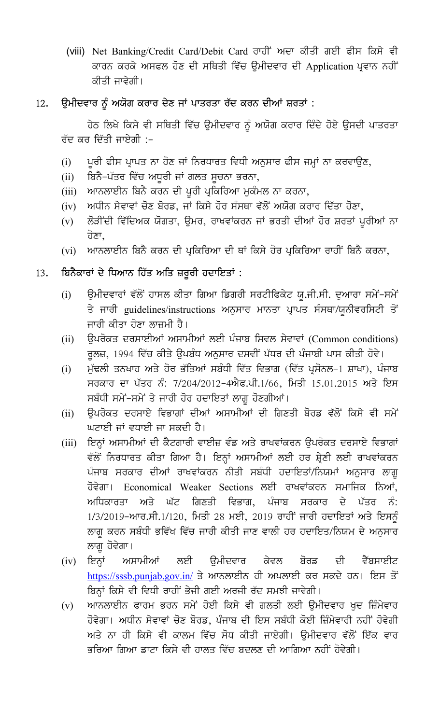(viii) Net Banking/Credit Card/Debit Card ਰਾਹੀਂ ਅਦਾ ਕੀਤੀ ਗਈ ਫੀਸ ਕਿਸੇ ਵੀ ਕਾਰਨ ਕਰਕੇ ਅਸਫਲ ਹੋਣ ਦੀ ਸਥਿਤੀ ਵਿੱਚ ਉਮੀਦਵਾਰ ਦੀ Application ਪ੍ਰਵਾਨ ਨਹੀਂ ਕੀਤੀ ਜਾਵੇਗੀ।

#### ਉਮੀਦਵਾਰ ਨੂੰ ਅਯੋਗ ਕਰਾਰ ਦੇਣ ਜਾਂ ਪਾਤਰਤਾ ਰੱਦ ਕਰਨ ਦੀਆਂ ਸ਼ਰਤਾਂ :  $12.$

ਹੇਠ ਲਿਖੇ ਕਿਸੇ ਵੀ ਸਥਿਤੀ ਵਿੱਚ ਉਮੀਦਵਾਰ ਨੂੰ ਅਯੋਗ ਕਰਾਰ ਦਿੰਦੇ ਹੋਏ ਉਸਦੀ ਪਾਤਰਤਾ ਰੱਦ ਕਰ ਦਿੱਤੀ ਜਾਏਗੀ :-

- ਪੁਰੀ ਫੀਸ ਪ੍ਰਾਪਤ ਨਾ ਹੋਣ ਜਾਂ ਨਿਰਧਾਰਤ ਵਿਧੀ ਅਨੁਸਾਰ ਫੀਸ ਜਮ੍ਹਾਂ ਨਾ ਕਰਵਾਉਣ,  $(i)$
- ਬਿਨੈ-ਪੱਤਰ ਵਿੱਚ ਅਧੂਰੀ ਜਾਂ ਗਲਤ ਸੂਚਨਾ ਭਰਨਾ,  $(ii)$
- ਆਨਲਾਈਨ ਬਿਨੈ ਕਰਨ ਦੀ ਪੂਰੀ ਪ੍ਰਕਿਰਿਆ ਮੁਕੰਮਲ ਨਾ ਕਰਨਾ,  $(iii)$
- ਅਧੀਨ ਸੇਵਾਵਾਂ ਚੋਣ ਬੋਰਡ, ਜਾਂ ਕਿਸੇ ਹੋਰ ਸੰਸਥਾ ਵੱਲੋਂ ਅਯੋਗ ਕਰਾਰ ਦਿੱਤਾ ਹੋਣਾ,  $(iv)$
- ਲੋੜੀਂਦੀ ਵਿੱਦਿਅਕ ਯੋਗਤਾ, ਉਮਰ, ਰਾਖਵਾਂਕਰਨ ਜਾਂ ਭਰਤੀ ਦੀਆਂ ਹੋਰ ਸ਼ਰਤਾਂ ਪੁਰੀਆਂ ਨਾ  $(v)$ ਹੋਣਾ.
- ਆਨਲਾਈਨ ਬਿਨੈ ਕਰਨ ਦੀ ਪ੍ਰਕਿਰਿਆ ਦੀ ਥਾਂ ਕਿਸੇ ਹੋਰ ਪ੍ਰਕਿਰਿਆ ਰਾਹੀਂ ਬਿਨੈ ਕਰਨਾ,  $(vi)$

#### ਬਿਨੈਕਾਰਾਂ ਦੇ ਧਿਆਨ ਹਿੱਤ ਅਤਿ ਜ਼ਰੂਰੀ ਹਦਾਇਤਾਂ : 13.

- ਉਮੀਦਵਾਰਾਂ ਵੱਲੋਂ ਹਾਸਲ ਕੀਤਾ ਗਿਆ ਡਿਗਰੀ ਸਰਟੀਫਿਕੇਟ ਯੂ.ਜੀ.ਸੀ. ਦੁਆਰਾ ਸਮੇਂ-ਸਮੇਂ  $(i)$ ਤੇ ਜਾਰੀ guidelines/instructions ਅਨੁਸਾਰ ਮਾਨਤਾ ਪ੍ਰਾਪਤ ਸੰਸਥਾ/ਯੁਨੀਵਰਸਿਟੀ ਤੋਂ ਜਾਰੀ ਕੀਤਾ ਹੋਣਾ ਲਾਜ਼ਮੀ ਹੈ।
- ਉਪਰੋਕਤ ਦਰਸਾਈਆਂ ਅਸਾਮੀਆਂ ਲਈ ਪੰਜਾਬ ਸਿਵਲ ਸੇਵਾਵਾਂ (Common conditions)  $(ii)$ ਰੁਲਜ਼, 1994 ਵਿੱਚ ਕੀਤੇ ਉਪਬੰਧ ਅਨੁਸਾਰ ਦਸਵੀਂ ਪੱਧਰ ਦੀ ਪੰਜਾਬੀ ਪਾਸ ਕੀਤੀ ਹੋਵੇ।
- ਮੁੱਢਲੀ ਤਨਖਾਹ ਅਤੇ ਹੋਰ ਭੱਤਿਆਂ ਸਬੰਧੀ ਵਿੱਤ ਵਿਭਾਗ (ਵਿੱਤ ਪ੍ਰਸੋਨਲ–1 ਸ਼ਾਖਾ), ਪੰਜਾਬ  $(i)$ ਸਰਕਾਰ ਦਾ ਪੱਤਰ ਨੰ: 7/204/2012-4ਐਫ.ਪੀ.1/66, ਮਿਤੀ 15.01.2015 ਅਤੇ ਇਸ ਸਬੰਧੀ ਸਮੇਂ-ਸਮੇਂ ਤੇ ਜਾਰੀ ਹੋਰ ਹਦਾਇਤਾਂ ਲਾਗੂ ਹੋਣਗੀਆਂ।
- ਉਪਰੋਕਤ ਦਰਸਾਏ ਵਿਭਾਗਾਂ ਦੀਆਂ ਅਸਾਮੀਆਂ ਦੀ ਗਿਣਤੀ ਬੋਰਡ ਵੱਲੋਂ ਕਿਸੇ ਵੀ ਸਮੇਂ  $(ii)$ ਘਟਾਈ ਜਾਂ ਵਧਾਈ ਜਾ ਸਕਦੀ ਹੈ।
- ਇਨ੍ਹਾਂ ਅਸਾਮੀਆਂ ਦੀ ਕੈਟਗਾਰੀ ਵਾਈਜ਼ ਵੰਡ ਅਤੇ ਰਾਖਵਾਂਕਰਨ ਉਪਰੋਕਤ ਦਰਸਾਏ ਵਿਭਾਗਾਂ  $(iii)$ ਵੱਲੋਂ ਨਿਰਧਾਰਤ ਕੀਤਾ ਗਿਆ ਹੈ। ਇਨ੍ਹਾਂ ਅਸਾਮੀਆਂ ਲਈ ਹਰ ਸ਼੍ਰੇਣੀ ਲਈ ਰਾਖਵਾਂਕਰਨ ਪੰਜਾਬ ਸਰਕਾਰ ਦੀਆਂ ਰਾਖਵਾਂਕਰਨ ਨੀਤੀ ਸਬੰਧੀ ਹਦਾਇਤਾਂ/ਨਿਯਮਾਂ ਅਨੁਸਾਰ ਲਾਗੂ ਹੋਵੇਗਾ। Economical Weaker Sections ਲਈ ਰਾਖਵਾਂਕਰਨ ਸਮਾਜਿਕ ਨਿਆਂ, ਅਧਿਕਾਰਤਾ ਅਤੇ ਘੱਟ ਗਿਣਤੀ ਵਿਭਾਗ, ਪੰਜਾਬ ਸਰਕਾਰ ਦੇ ਪੱਤਰ ਨੰ: 1/3/2019-ਆਰ.ਸੀ.1/120, ਮਿਤੀ 28 ਮਈ, 2019 ਰਾਹੀਂ ਜਾਰੀ ਹਦਾਇਤਾਂ ਅਤੇ ਇਸਨੂੰ ਲਾਗੁ ਕਰਨ ਸਬੰਧੀ ਭਵਿੱਖ ਵਿੱਚ ਜਾਰੀ ਕੀਤੀ ਜਾਣ ਵਾਲੀ ਹਰ ਹਦਾਇਤ/ਨਿਯਮ ਦੇ ਅਨੁਸਾਰ ਲਾਗ ਹੋਵੇਗਾ।
- ਇਨ੍ਹਾਂ ਅਸਾਮੀਆਂ ਲਈ ੳਮੀਦਵਾਰ ਕੇਵਲ ਬੋਰਡ ਦੀ ਵੈੱਬਸਾਈਟ  $(iv)$ https://sssb.punjab.gov.in/ ਤੇ ਆਨਲਾਈਨ ਹੀ ਅਪਲਾਈ ਕਰ ਸਕਦੇ ਹਨ। ਇਸ ਤੋਂ ਬਿਨ੍ਹਾਂ ਕਿਸੇ ਵੀ ਵਿਧੀ ਰਾਹੀਂ ਭੇਜੀ ਗਈ ਅਰਜੀ ਰੱਦ ਸਮਝੀ ਜਾਵੇਗੀ।
- ਆਨਲਾਈਨ ਫਾਰਮ ਭਰਨ ਸਮੇਂ ਹੋਈ ਕਿਸੇ ਵੀ ਗਲਤੀ ਲਈ ਉਮੀਦਵਾਰ ਖੁਦ ਜ਼ਿੰਮੇਵਾਰ  $(v)$ ਹੋਵੇਗਾ। ਅਧੀਨ ਸੇਵਾਵਾਂ ਚੋਣ ਬੋਰਡ, ਪੰਜਾਬ ਦੀ ਇਸ ਸਬੰਧੀ ਕੋਈ ਜ਼ਿੰਮੇਵਾਰੀ ਨਹੀਂ ਹੋਵੇਗੀ ਅਤੇ ਨਾ ਹੀ ਕਿਸੇ ਵੀ ਕਾਲਮ ਵਿੱਚ ਸੋਧ ਕੀਤੀ ਜਾਏਗੀ। ਉਮੀਦਵਾਰ ਵੱਲੋਂ ਇੱਕ ਵਾਰ ਭਰਿਆ ਗਿਆ ਡਾਟਾ ਕਿਸੇ ਵੀ ਹਾਲਤ ਵਿੱਚ ਬਦਲਣ ਦੀ ਆਗਿਆ ਨਹੀਂ ਹੋਵੇਗੀ।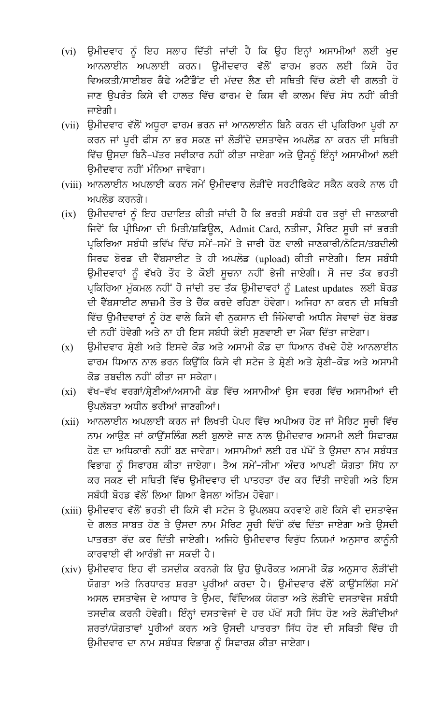- (vi) ਉਮੀਦਵਾਰ ਨੂੰ ਇਹ ਸਲਾਹ ਦਿੱਤੀ ਜਾਂਦੀ ਹੈ ਕਿ ਉਹ ਇਨ੍ਹਾਂ ਅਸਾਮੀਆਂ ਲਈ ਖੁਦ ਆਨਲਾਈਨ ਅਪਲਾਈ ਕਰਨ। ੳਮੀਦਵਾਰ ਵੱਲੋਂ ਫਾਰਮ ਭਰਨ ਲਈ ਕਿਸੇ ਹੋਰ ਵਿਅਕਤੀ/ਸਾਈਬਰ ਕੈਫੇ ਅਟੈਂਡੈਂਟ ਦੀ ਮੱਦਦ ਲੈਣ ਦੀ ਸਥਿਤੀ ਵਿੱਚ ਕੋਈ ਵੀ ਗਲਤੀ ਹੋ ਜਾਣ ਉਪਰੰਤ ਕਿਸੇ ਵੀ ਹਾਲਤ ਵਿੱਚ ਫਾਰਮ ਦੇ ਕਿਸ ਵੀ ਕਾਲਮ ਵਿੱਚ ਸੋਧ ਨਹੀਂ ਕੀਤੀ ਜਾਏਗੀ।
- (vii) ਉਮੀਦਵਾਰ ਵੱਲੋਂ ਅਧੂਰਾ ਫਾਰਮ ਭਰਨ ਜਾਂ ਆਨਲਾਈਨ ਬਿਨੈ ਕਰਨ ਦੀ ਪ੍ਰਕਿਰਿਆ ਪੂਰੀ ਨਾ ਕਰਨ ਜਾਂ ਪੂਰੀ ਫੀਸ ਨਾ ਭਰ ਸਕਣ ਜਾਂ ਲੋੜੀਂਦੇ ਦਸਤਾਵੇਜ ਅਪਲੋਡ ਨਾ ਕਰਨ ਦੀ ਸਥਿਤੀ ਵਿੱਚ ਉਸਦਾ ਬਿਨੈ-ਪੱਤਰ ਸਵੀਕਾਰ ਨਹੀਂ ਕੀਤਾ ਜਾਏਗਾ ਅਤੇ ਉਸਨੂੰ ਇੰਨ੍ਹਾਂ ਅਸਾਮੀਆਂ ਲਈ ਉਮੀਦਵਾਰ ਨਹੀਂ ਮੰਨਿਆ ਜਾਵੇਗਾ।
- (viii) ਆਨਲਾਈਨ ਅਪਲਾਈ ਕਰਨ ਸਮੇਂ ੳਮੀਦਵਾਰ ਲੋੜੀਂਦੇ ਸਰਟੀਫਿਕੇਟ ਸਕੈਨ ਕਰਕੇ ਨਾਲ ਹੀ ਅਪਲੋਡ ਕਰਨਗੇ।
- ਉਮੀਦਵਾਰਾਂ ਨੂੰ ਇਹ ਹਦਾਇਤ ਕੀਤੀ ਜਾਂਦੀ ਹੈ ਕਿ ਭਰਤੀ ਸਬੰਧੀ ਹਰ ਤਰ੍ਹਾਂ ਦੀ ਜਾਣਕਾਰੀ  $(ix)$ ਜਿਵੇਂ ਕਿ ਪ੍ਰੀਖਿਆ ਦੀ ਮਿਤੀ/ਸ਼ਡਿਊਲ, Admit Card, ਨਤੀਜਾ, ਮੈਰਿਟ ਸੂਚੀ ਜਾਂ ਭਰਤੀ ਪੁਕਿਰਿਆ ਸਬੰਧੀ ਭਵਿੱਖ ਵਿੱਚ ਸਮੇਂ-ਸਮੇਂ ਤੇ ਜਾਰੀ ਹੋਣ ਵਾਲੀ ਜਾਣਕਾਰੀ/ਨੋਟਿਸ/ਤਬਦੀਲੀ ਸਿਰਫ ਬੋਰਡ ਦੀ ਵੈੱਬਸਾਈਟ ਤੇ ਹੀ ਅਪਲੋਡ (upload) ਕੀਤੀ ਜਾਏਗੀ। ਇਸ ਸਬੰਧੀ ਉਮੀਦਵਾਰਾਂ ਨੂੰ ਵੱਖਰੇ ਤੌਰ ਤੇ ਕੋਈ ਸੁਚਨਾ ਨਹੀਂ ਭੇਜੀ ਜਾਏਗੀ। ਸੋ ਜਦ ਤੱਕ ਭਰਤੀ ਪ੍ਰਕਿਰਿਆ ਮੁੰਕਮਲ ਨਹੀਂ ਹੋ ਜਾਂਦੀ ਤਦ ਤੱਕ ਉਮੀਦਾਵਰਾਂ ਨੂੰ Latest updates ਲਈ ਬੋਰਡ ਦੀ ਵੈੱਬਸਾਈਟ ਲਾਜ਼ਮੀ ਤੌਰ ਤੇ ਚੈੱਕ ਕਰਦੇ ਰਹਿਣਾ ਹੋਵੇਗਾ। ਅਜਿਹਾ ਨਾ ਕਰਨ ਦੀ ਸਥਿਤੀ ਵਿੱਚ ੳਮੀਦਵਾਰਾਂ ਨੰ ਹੋਣ ਵਾਲੇ ਕਿਸੇ ਵੀ ਨਕਸਾਨ ਦੀ ਜਿੰਮੇਵਾਰੀ ਅਧੀਨ ਸੇਵਾਵਾਂ ਚੋਣ ਬੋਰਡ ਦੀ ਨਹੀਂ ਹੋਵੇਗੀ ਅਤੇ ਨਾ ਹੀ ਇਸ ਸਬੰਧੀ ਕੋਈ ਸਣਵਾਈ ਦਾ ਮੌਕਾ ਦਿੱਤਾ ਜਾਏਗਾ।
- ਉਮੀਦਵਾਰ ਸ਼ੇਣੀ ਅਤੇ ਇਸਦੇ ਕੋਡ ਅਤੇ ਅਸਾਮੀ ਕੋਡ ਦਾ ਧਿਆਨ ਰੱਖਦੇ ਹੋਏ ਆਨਲਾਈਨ  $(x)$ ਫਾਰਮ ਧਿਆਨ ਨਾਲ ਭਰਨ ਕਿਉਂਕਿ ਕਿਸੇ ਵੀ ਸਟੇਜ ਤੇ ਸ਼੍ਰੇਣੀ ਅਤੇ ਸ਼੍ਰੇਣੀ–ਕੋਡ ਅਤੇ ਅਸਾਮੀ ਕੋਡ ਤਬਦੀਲ ਨਹੀਂ ਕੀਤਾ ਜਾ ਸਕੇਗਾ।
- (xi) ਵੱਖ-ਵੱਖ ਵਰਗਾਂ/ਸ਼੍ਰੇਣੀਆਂ/ਅਸਾਮੀ ਕੋਡ ਵਿੱਚ ਅਸਾਮੀਆਂ ਉਸ ਵਰਗ ਵਿੱਚ ਅਸਾਮੀਆਂ ਦੀ ਓਪਲੱਬਤਾ ਅਧੀਨ ਭਰੀਆਂ ਜਾਣਗੀਆਂ।
- ਆਨਲਾਈਨ ਅਪਲਾਈ ਕਰਨ ਜਾਂ ਲਿਖਤੀ ਪੇਪਰ ਵਿੱਚ ਅਪੀਅਰ ਹੋਣ ਜਾਂ ਮੈਰਿਟ ਸੂਚੀ ਵਿੱਚ  $(xii)$ ਨਾਮ ਆਉਣ ਜਾਂ ਕਾਉਂਸਲਿੰਗ ਲਈ ਬੁਲਾਏ ਜਾਣ ਨਾਲ ਉਮੀਦਵਾਰ ਅਸਾਮੀ ਲਈ ਸਿਫਾਰਸ਼ ਹੋਣ ਦਾ ਅਧਿਕਾਰੀ ਨਹੀਂ ਬਣ ਜਾਵੇਗਾ। ਅਸਾਮੀਆਂ ਲਈ ਹਰ ਪੱਖੋਂ ਤੇ ਉਸਦਾ ਨਾਮ ਸਬੰਧਤ ਵਿਭਾਗ ਨੂੰ ਸਿਫਾਰਸ਼ ਕੀਤਾ ਜਾਏਗਾ। ਤੈਅ ਸਮੇਂ-ਸੀਮਾ ਅੰਦਰ ਆਪਣੀ ਯੋਗਤਾ ਸਿੱਧ ਨਾ ਕਰ ਸਕਣ ਦੀ ਸਥਿਤੀ ਵਿੱਚ ਉਮੀਦਵਾਰ ਦੀ ਪਾਤਰਤਾ ਰੱਦ ਕਰ ਦਿੱਤੀ ਜਾਏਗੀ ਅਤੇ ਇਸ ਸਬੰਧੀ ਬੋਰਡ ਵੱਲੋਂ ਲਿਆ ਗਿਆ ਫੈਸਲਾ ਅੰਤਿਮ ਹੋਵੇਗਾ।
- (xiii) ਉਮੀਦਵਾਰ ਵੱਲੋਂ ਭਰਤੀ ਦੀ ਕਿਸੇ ਵੀ ਸਟੇਜ ਤੇ ਉਪਲਬਧ ਕਰਵਾਏ ਗਏ ਕਿਸੇ ਵੀ ਦਸਤਾਵੇਜ ਦੇ ਗਲਤ ਸਾਬਤ ਹੋਣ ਤੇ ਉਸਦਾ ਨਾਮ ਮੈਰਿਟ ਸੂਚੀ ਵਿੱਚੋਂ ਕੱਢ ਦਿੱਤਾ ਜਾਏਗਾ ਅਤੇ ਉਸਦੀ ਪਾਤਰਤਾ ਰੱਦ ਕਰ ਦਿੱਤੀ ਜਾਏਗੀ। ਅਜਿਹੇ ਉਮੀਦਵਾਰ ਵਿਰੁੱਧ ਨਿਯਮਾਂ ਅਨੁਸਾਰ ਕਾਨੂੰਨੀ ਕਾਰਵਾਈ ਵੀ ਆਰੰਭੀ ਜਾ ਸਕਦੀ ਹੈ।
- (xiv) ਉਮੀਦਵਾਰ ਇਹ ਵੀ ਤਸਦੀਕ ਕਰਨਗੇ ਕਿ ਉਹ ਉਪਰੋਕਤ ਅਸਾਮੀ ਕੋਡ ਅਨੁਸਾਰ ਲੋੜੀਂਦੀ ਯੋਗਤਾ ਅਤੇ ਨਿਰਧਾਰਤ ਸ਼ਰਤਾ ਪੂਰੀਆਂ ਕਰਦਾ ਹੈ। ਉਮੀਦਵਾਰ ਵੱਲੋਂ ਕਾਉਂਸਲਿੰਗ ਸਮੇਂ ਅਸਲ ਦਸਤਾਵੇਜ ਦੇ ਆਧਾਰ ਤੇ ਉਮਰ, ਵਿੱਦਿਅਕ ਯੋਗਤਾ ਅਤੇ ਲੋੜੀਂਦੇ ਦਸਤਾਵੇਜ ਸਬੰਧੀ ਤਸਦੀਕ ਕਰਨੀ ਹੋਵੇਗੀ। ਇੰਨ੍ਹਾਂ ਦਸਤਾਵੇਜਾਂ ਦੇ ਹਰ ਪੱਖੋਂ ਸਹੀ ਸਿੱਧ ਹੋਣ ਅਤੇ ਲੋੜੀਂਦੀਆਂ ਸ਼ਰਤਾਂ/ਯੋਗਤਾਵਾਂ ਪੁਰੀਆਂ ਕਰਨ ਅਤੇ ਉਸਦੀ ਪਾਤਰਤਾ ਸਿੱਧ ਹੋਣ ਦੀ ਸਥਿਤੀ ਵਿੱਚ ਹੀ ਉਮੀਦਵਾਰ ਦਾ ਨਾਮ ਸਬੰਧਤ ਵਿਭਾਗ ਨੂੰ ਸਿਫਾਰਸ਼ ਕੀਤਾ ਜਾਏਗਾ।